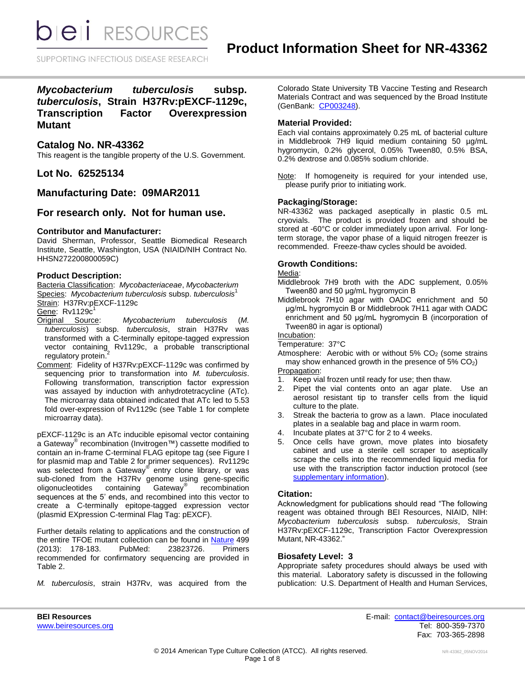SUPPORTING INFECTIOUS DISEASE RESEARCH

*Mycobacterium tuberculosis* **subsp.**  *tuberculosis***, Strain H37Rv:pEXCF-1129c, Transcription Factor Overexpression Mutant**

# **Catalog No. NR-43362**

This reagent is the tangible property of the U.S. Government.

**Lot No. 62525134**

# **Manufacturing Date: 09MAR2011**

# **For research only. Not for human use.**

#### **Contributor and Manufacturer:**

David Sherman, Professor, Seattle Biomedical Research Institute, Seattle, Washington, USA (NIAID/NIH Contract No. HHSN272200800059C)

### **Product Description:**

Bacteria Classification: *Mycobacteriaceae*, *Mycobacterium* Species: *Mycobacterium tuberculosis* subsp. *tuberculosis*<sup>1</sup> Strain: H37Rv:pEXCF-1129c

- Gene: Rv1129c<sup>1</sup><br>Original Source:  $Mycobacterium tuberculosis (M.$ *tuberculosis*) subsp. *tuberculosis*, strain H37Rv was transformed with a C-terminally epitope-tagged expression vector containing Rv1129c, a probable transcriptional<br>regulatory protein.<sup>2</sup> regulatory protein.
- Comment: Fidelity of H37Rv:pEXCF-1129c was confirmed by sequencing prior to transformation into *M. tuberculosis*. Following transformation, transcription factor expression was assayed by induction with anhydrotetracycline (ATc). The microarray data obtained indicated that ATc led to 5.53 fold over-expression of Rv1129c (see Table 1 for complete microarray data).

pEXCF-1129c is an ATc inducible episomal vector containing a Gateway® recombination (Invitrogen™) cassette modified to contain an in-frame C-terminal FLAG epitope tag (see Figure I for plasmid map and Table 2 for primer sequences). Rv1129c was selected from a Gateway<sup>®</sup> entry clone library, or was sub-cloned from the H37Rv genome using gene-specific oligonucleotides containing  $\overline{\text{Gateway}}^{\text{max}}$  recombination sequences at the 5' ends, and recombined into this vector to create a C-terminally epitope-tagged expression vector (plasmid EXpression C-terminal Flag Tag: pEXCF).

Further details relating to applications and the construction of the entire TFOE mutant collection can be found in [Nature](http://www.nature.com/nature/journal/v499/n7457/full/nature12337.html) 499 (2013): 178-183. PubMed: 23823726. Primers recommended for confirmatory sequencing are provided in Table 2.

*M. tuberculosis*, strain H37Rv, was acquired from the

Colorado State University TB Vaccine Testing and Research Materials Contract and was sequenced by the Broad Institute (GenBank: [CP003248\)](http://www.ncbi.nlm.nih.gov/nuccore/CP003248).

## **Material Provided:**

Each vial contains approximately 0.25 mL of bacterial culture in Middlebrook 7H9 liquid medium containing 50 µg/mL hygromycin, 0.2% glycerol, 0.05% Tween80, 0.5% BSA, 0.2% dextrose and 0.085% sodium chloride.

Note: If homogeneity is required for your intended use, please purify prior to initiating work.

### **Packaging/Storage:**

NR-43362 was packaged aseptically in plastic 0.5 mL cryovials. The product is provided frozen and should be stored at -60°C or colder immediately upon arrival. For longterm storage, the vapor phase of a liquid nitrogen freezer is recommended. Freeze-thaw cycles should be avoided.

### **Growth Conditions:**

### Media:

Middlebrook 7H9 broth with the ADC supplement, 0.05% Tween80 and 50 μg/mL hygromycin B

Middlebrook 7H10 agar with OADC enrichment and 50 μg/mL hygromycin B or Middlebrook 7H11 agar with OADC enrichment and 50 μg/mL hygromycin B (incorporation of Tween80 in agar is optional)

Incubation:

Temperature: 37°C

Atmosphere: Aerobic with or without  $5\%$  CO<sub>2</sub> (some strains may show enhanced growth in the presence of  $5\%$  CO<sub>2</sub>) Propagation:

- 1. Keep vial frozen until ready for use; then thaw.
- 2. Pipet the vial contents onto an agar plate. Use an aerosol resistant tip to transfer cells from the liquid culture to the plate.
- 3. Streak the bacteria to grow as a lawn. Place inoculated plates in a sealable bag and place in warm room.
- 4. Incubate plates at 37°C for 2 to 4 weeks.
- 5. Once cells have grown, move plates into biosafety cabinet and use a sterile cell scraper to aseptically scrape the cells into the recommended liquid media for use with the transcription factor induction protocol (see [supplementary information\)](http://www.nature.com/nature/journal/v499/n7457/extref/nature12337-s1.pdf).

# **Citation:**

Acknowledgment for publications should read "The following reagent was obtained through BEI Resources, NIAID, NIH: *Mycobacterium tuberculosis* subsp. *tuberculosis*, Strain H37Rv:pEXCF-1129c, Transcription Factor Overexpression Mutant, NR-43362."

#### **Biosafety Level: 3**

Appropriate safety procedures should always be used with this material. Laboratory safety is discussed in the following publication: U.S. Department of Health and Human Services,

**BEI Resources** E-mail: [contact@beiresources.org](mailto:contact@beiresources.org) [www.beiresources.org](http://www.beiresources.org/) **Tel: 800-359-7370** Fax: 703-365-2898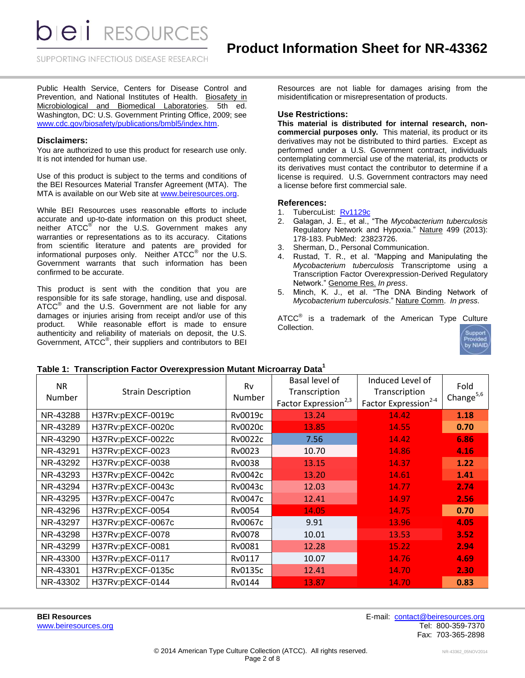*DIEI RESOURCES* 

SUPPORTING INFECTIOUS DISEASE RESEARCH

Public Health Service, Centers for Disease Control and Prevention, and National Institutes of Health. Biosafety in Microbiological and Biomedical Laboratories. 5th ed. Washington, DC: U.S. Government Printing Office, 2009; see [www.cdc.gov/biosafety/publications/bmbl5/index.htm.](http://www.cdc.gov/biosafety/publications/bmbl5/index.htm)

#### **Disclaimers:**

You are authorized to use this product for research use only. It is not intended for human use.

Use of this product is subject to the terms and conditions of the BEI Resources Material Transfer Agreement (MTA). The MTA is available on our Web site at [www.beiresources.org.](http://www.beiresources.org/)

While BEI Resources uses reasonable efforts to include accurate and up-to-date information on this product sheet, neither ATCC<sup>®</sup> nor the U.S. Government makes any warranties or representations as to its accuracy. Citations from scientific literature and patents are provided for informational purposes only. Neither  $\tt{ATCC}^{\circledR}$  nor the U.S. Government warrants that such information has been confirmed to be accurate.

This product is sent with the condition that you are responsible for its safe storage, handling, use and disposal. ATCC<sup>®</sup> and the U.S. Government are not liable for any damages or injuries arising from receipt and/or use of this product. While reasonable effort is made to ensure authenticity and reliability of materials on deposit, the U.S. Government, ATCC®, their suppliers and contributors to BEI

Resources are not liable for damages arising from the misidentification or misrepresentation of products.

## **Use Restrictions:**

**This material is distributed for internal research, noncommercial purposes only.** This material, its product or its derivatives may not be distributed to third parties. Except as performed under a U.S. Government contract, individuals contemplating commercial use of the material, its products or its derivatives must contact the contributor to determine if a license is required. U.S. Government contractors may need a license before first commercial sale.

#### **References:**

- 1. TubercuList: [Rv1129c](http://tuberculist.epfl.ch/quicksearch.php?gene+name=Rv1129c)
- 2. Galagan, J. E., et al., "The *Mycobacterium tuberculosis* Regulatory Network and Hypoxia." Nature 499 (2013): 178-183. PubMed: 23823726.
- 3. Sherman, D., Personal Communication.<br>4. Rustad, T. R.. et al. "Mapning and I
- Rustad, T. R., et al. "Mapping and Manipulating the *Mycobacterium tuberculosis* Transcriptome using a Transcription Factor Overexpression-Derived Regulatory Network." Genome Res. *In press*.
- 5. Minch, K. J., et al. "The DNA Binding Network of *Mycobacterium tuberculosis*." Nature Comm. *In press.*

ATCC $^{\circ}$  is a trademark of the American Type Culture Collection.



#### **Table 1: Transcription Factor Overexpression Mutant Microarray Data<sup>1</sup>**

| <b>NR</b><br>Number | <b>Strain Description</b> | Rv<br>Number   | Basal level of<br>Transcription<br>Factor Expression <sup>2,3</sup> | Induced Level of<br>Transcription<br>Factor Expression <sup>2-4</sup> | Fold<br>Change $5,6$ |
|---------------------|---------------------------|----------------|---------------------------------------------------------------------|-----------------------------------------------------------------------|----------------------|
| NR-43288            | H37Rv:pEXCF-0019c         | Rv0019c        | 13.24                                                               | 14.42                                                                 | 1.18                 |
| NR-43289            | H37Rv:pEXCF-0020c         | Rv0020c        | 13.85                                                               | 14.55                                                                 | 0.70                 |
| NR-43290            | H37Rv:pEXCF-0022c         | Rv0022c        | 7.56                                                                | 14.42                                                                 | 6.86                 |
| NR-43291            | H37Rv:pEXCF-0023          | Rv0023         | 10.70                                                               | 14.86                                                                 | 4.16                 |
| NR-43292            | H37Rv:pEXCF-0038          | Rv0038         | 13.15                                                               | 14.37                                                                 | 1.22                 |
| NR-43293            | H37Rv:pEXCF-0042c         | Rv0042c        | 13.20                                                               | 14.61                                                                 | 1.41                 |
| NR-43294            | H37Rv:pEXCF-0043c         | Rv0043c        | 12.03                                                               | 14.77                                                                 | 2.74                 |
| NR-43295            | H37Rv:pEXCF-0047c         | Rv0047c        | 12.41                                                               | 14.97                                                                 | 2.56                 |
| NR-43296            | H37Rv:pEXCF-0054          | Rv0054         | 14.05                                                               | 14.75                                                                 | 0.70                 |
| NR-43297            | H37Rv:pEXCF-0067c         | Rv0067c        | 9.91                                                                | 13.96                                                                 | 4.05                 |
| NR-43298            | H37Rv:pEXCF-0078          | Rv0078         | 10.01                                                               | 13.53                                                                 | 3.52                 |
| NR-43299            | H37Rv:pEXCF-0081          | Rv0081         | 12.28                                                               | 15.22                                                                 | 2.94                 |
| NR-43300            | H37Rv:pEXCF-0117          | Rv0117         | 10.07                                                               | 14.76                                                                 | 4.69                 |
| NR-43301            | H37Rv:pEXCF-0135c         | <b>Rv0135c</b> | 12.41                                                               | 14.70                                                                 | 2.30                 |
| NR-43302            | H37Rv:pEXCF-0144          | Rv0144         | 13.87                                                               | 14.70                                                                 | 0.83                 |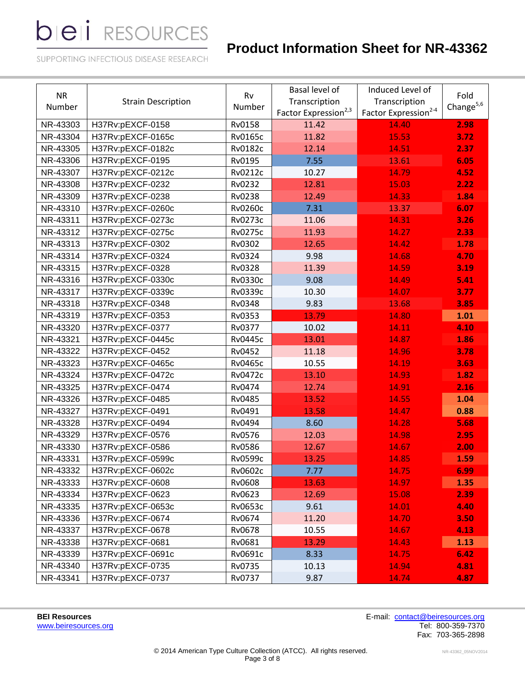# **Product Information Sheet for NR-43362**

SUPPORTING INFECTIOUS DISEASE RESEARCH

| <b>NR</b><br>Number | <b>Strain Description</b> | Basal level of<br>Rv<br>Transcription<br>Number<br>Factor Expression <sup>2,3</sup> |       | Induced Level of<br>Transcription<br>Factor Expression <sup>2-4</sup> | Fold<br>Change $5,6$ |
|---------------------|---------------------------|-------------------------------------------------------------------------------------|-------|-----------------------------------------------------------------------|----------------------|
| NR-43303            | H37Rv:pEXCF-0158          | <b>Rv0158</b>                                                                       | 11.42 | 14.40                                                                 | 2.98                 |
| NR-43304            | H37Rv:pEXCF-0165c         | <b>Rv0165c</b>                                                                      | 11.82 | 15.53                                                                 | 3.72                 |
| NR-43305            | H37Rv:pEXCF-0182c         | <b>Rv0182c</b>                                                                      | 12.14 | 14.51                                                                 | 2.37                 |
| NR-43306            | H37Rv:pEXCF-0195          | Rv0195                                                                              | 7.55  | 13.61                                                                 | 6.05                 |
| NR-43307            | H37Rv:pEXCF-0212c         | Rv0212c                                                                             | 10.27 | 14.79                                                                 | 4.52                 |
| NR-43308            | H37Rv:pEXCF-0232          | Rv0232                                                                              | 12.81 | 15.03                                                                 | 2.22                 |
| NR-43309            | H37Rv:pEXCF-0238          | <b>Rv0238</b>                                                                       | 12.49 | 14.33                                                                 | 1.84                 |
| NR-43310            | H37Rv:pEXCF-0260c         | <b>Rv0260c</b>                                                                      | 7.31  | 13.37                                                                 | 6.07                 |
| NR-43311            | H37Rv:pEXCF-0273c         | <b>Rv0273c</b>                                                                      | 11.06 | 14.31                                                                 | 3.26                 |
| NR-43312            | H37Rv:pEXCF-0275c         | <b>Rv0275c</b>                                                                      | 11.93 | 14.27                                                                 | 2.33                 |
| NR-43313            | H37Rv:pEXCF-0302          | Rv0302                                                                              | 12.65 | 14.42                                                                 | 1.78                 |
| NR-43314            | H37Rv:pEXCF-0324          | Rv0324                                                                              | 9.98  | 14.68                                                                 | 4.70                 |
| NR-43315            | H37Rv:pEXCF-0328          | <b>Rv0328</b>                                                                       | 11.39 | 14.59                                                                 | 3.19                 |
| NR-43316            | H37Rv:pEXCF-0330c         | Rv0330c                                                                             | 9.08  | 14.49                                                                 | 5.41                 |
| NR-43317            | H37Rv:pEXCF-0339c         | Rv0339c                                                                             | 10.30 | 14.07                                                                 | 3.77                 |
| NR-43318            | H37Rv:pEXCF-0348          | Rv0348                                                                              | 9.83  | 13.68                                                                 | 3.85                 |
| NR-43319            | H37Rv:pEXCF-0353          | Rv0353                                                                              | 13.79 | 14.80                                                                 | 1.01                 |
| NR-43320            | H37Rv:pEXCF-0377          | Rv0377                                                                              | 10.02 | 14.11                                                                 | 4.10                 |
| NR-43321            | H37Rv:pEXCF-0445c         | <b>Rv0445c</b>                                                                      | 13.01 | 14.87                                                                 | 1.86                 |
| NR-43322            | H37Rv:pEXCF-0452          | Rv0452                                                                              | 11.18 | 14.96                                                                 | 3.78                 |
| NR-43323            | H37Rv:pEXCF-0465c         | <b>Rv0465c</b>                                                                      | 10.55 | 14.19                                                                 | 3.63                 |
| NR-43324            | H37Rv:pEXCF-0472c         | <b>Rv0472c</b>                                                                      | 13.10 | 14.93                                                                 | 1.82                 |
| NR-43325            | H37Rv:pEXCF-0474          | Rv0474                                                                              | 12.74 | 14.91                                                                 | 2.16                 |
| NR-43326            | H37Rv:pEXCF-0485          | Rv0485                                                                              | 13.52 | 14.55                                                                 | 1.04                 |
| NR-43327            | H37Rv:pEXCF-0491          | Rv0491                                                                              | 13.58 | 14.47                                                                 | 0.88                 |
| NR-43328            | H37Rv:pEXCF-0494          | Rv0494                                                                              | 8.60  | 14.28                                                                 | 5.68                 |
| NR-43329            | H37Rv:pEXCF-0576          | Rv0576                                                                              | 12.03 | 14.98                                                                 | 2.95                 |
| NR-43330            | H37Rv:pEXCF-0586          | <b>Rv0586</b>                                                                       | 12.67 | 14.67                                                                 | 2.00                 |
| NR-43331            | H37Rv:pEXCF-0599c         | Rv0599c                                                                             | 13.25 | 14.85                                                                 | 1.59                 |
| NR-43332            | H37Rv:pEXCF-0602c         | Rv0602c                                                                             | 7.77  | 14.75                                                                 | 6.99                 |
| NR-43333            | H37Rv:pEXCF-0608          | Rv0608                                                                              | 13.63 | 14.97                                                                 | 1.35                 |
| NR-43334            | H37Rv:pEXCF-0623          | Rv0623                                                                              | 12.69 | 15.08                                                                 | 2.39                 |
| NR-43335            | H37Rv:pEXCF-0653c         | Rv0653c                                                                             | 9.61  | 14.01                                                                 | 4.40                 |
| NR-43336            | H37Rv:pEXCF-0674          | Rv0674                                                                              | 11.20 | 14.70                                                                 | 3.50                 |
| NR-43337            | H37Rv:pEXCF-0678          | Rv0678                                                                              | 10.55 | 14.67                                                                 | 4.13                 |
| NR-43338            | H37Rv:pEXCF-0681          | Rv0681                                                                              | 13.29 | 14.43                                                                 | 1.13                 |
| NR-43339            | H37Rv:pEXCF-0691c         | Rv0691c                                                                             | 8.33  | 14.75                                                                 | 6.42                 |
| NR-43340            | H37Rv:pEXCF-0735          | Rv0735                                                                              | 10.13 | 14.94                                                                 | 4.81                 |
| NR-43341            | H37Rv:pEXCF-0737          | Rv0737                                                                              | 9.87  | 14.74                                                                 | 4.87                 |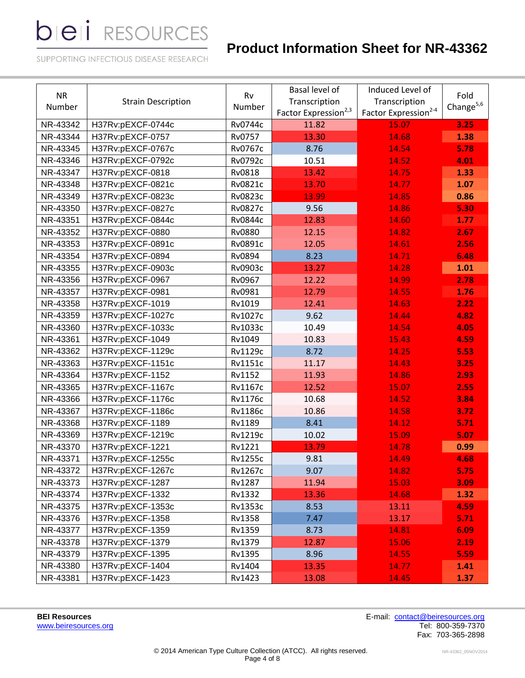# **Product Information Sheet for NR-43362**

SUPPORTING INFECTIOUS DISEASE RESEARCH

| <b>NR</b><br>Number | <b>Strain Description</b> | Rv<br>Number   | Basal level of<br>Transcription<br>Factor Expression <sup>2,3</sup> | Induced Level of<br>Transcription<br>Factor Expression <sup>2-4</sup> | Fold<br>Change $5,6$ |
|---------------------|---------------------------|----------------|---------------------------------------------------------------------|-----------------------------------------------------------------------|----------------------|
| NR-43342            | H37Rv:pEXCF-0744c         | Rv0744c        | 11.82                                                               | 15.07                                                                 | 3.25                 |
| NR-43344            | H37Rv:pEXCF-0757          | Rv0757         | 13.30                                                               | 14.68                                                                 | 1.38                 |
| NR-43345            | H37Rv:pEXCF-0767c         | Rv0767c        | 8.76                                                                | 14.54                                                                 | 5.78                 |
| NR-43346            | H37Rv:pEXCF-0792c         | Rv0792c        | 10.51                                                               | 14.52                                                                 | 4.01                 |
| NR-43347            | H37Rv:pEXCF-0818          | Rv0818         | 13.42                                                               | 14.75                                                                 | 1.33                 |
| NR-43348            | H37Rv:pEXCF-0821c         | Rv0821c        | 13.70                                                               | 14.77                                                                 | 1.07                 |
| NR-43349            | H37Rv:pEXCF-0823c         | Rv0823c        | 13.99                                                               | 14.85                                                                 | 0.86                 |
| NR-43350            | H37Rv:pEXCF-0827c         | <b>Rv0827c</b> | 9.56                                                                | 14.86                                                                 | 5.30                 |
| NR-43351            | H37Rv:pEXCF-0844c         | <b>Rv0844c</b> | 12.83                                                               | 14.60                                                                 | 1.77                 |
| NR-43352            | H37Rv:pEXCF-0880          | <b>Rv0880</b>  | 12.15                                                               | 14.82                                                                 | 2.67                 |
| NR-43353            | H37Rv:pEXCF-0891c         | Rv0891c        | 12.05                                                               | 14.61                                                                 | 2.56                 |
| NR-43354            | H37Rv:pEXCF-0894          | Rv0894         | 8.23                                                                | 14.71                                                                 | 6.48                 |
| NR-43355            | H37Rv:pEXCF-0903c         | Rv0903c        | 13.27                                                               | 14.28                                                                 | 1.01                 |
| NR-43356            | H37Rv:pEXCF-0967          | Rv0967         | 12.22                                                               | 14.99                                                                 | 2.78                 |
| NR-43357            | H37Rv:pEXCF-0981          | Rv0981         | 12.79                                                               | 14.55                                                                 | 1.76                 |
| NR-43358            | H37Rv:pEXCF-1019          | Rv1019         | 12.41                                                               | 14.63                                                                 | 2.22                 |
| NR-43359            | H37Rv:pEXCF-1027c         | Rv1027c        | 9.62                                                                | 14.44                                                                 | 4.82                 |
| NR-43360            | H37Rv:pEXCF-1033c         | Rv1033c        | 10.49                                                               | 14.54                                                                 | 4.05                 |
| NR-43361            | H37Rv:pEXCF-1049          | Rv1049         | 10.83                                                               | 15.43                                                                 | 4.59                 |
| NR-43362            | H37Rv:pEXCF-1129c         | <b>Rv1129c</b> | 8.72                                                                | 14.25                                                                 | 5.53                 |
| NR-43363            | H37Rv:pEXCF-1151c         | <b>Rv1151c</b> | 11.17                                                               | 14.43                                                                 | 3.25                 |
| NR-43364            | H37Rv:pEXCF-1152          | Rv1152         | 11.93                                                               | 14.86                                                                 | 2.93                 |
| NR-43365            | H37Rv:pEXCF-1167c         | Rv1167c        | 12.52                                                               | 15.07                                                                 | 2.55                 |
| NR-43366            | H37Rv:pEXCF-1176c         | <b>Rv1176c</b> | 10.68                                                               | 14.52                                                                 | 3.84                 |
| NR-43367            | H37Rv:pEXCF-1186c         | <b>Rv1186c</b> | 10.86                                                               | 14.58                                                                 | 3.72                 |
| NR-43368            | H37Rv:pEXCF-1189          | Rv1189         | 8.41                                                                | 14.12                                                                 | 5.71                 |
| NR-43369            | H37Rv:pEXCF-1219c         | Rv1219c        | 10.02                                                               | 15.09                                                                 | 5.07                 |
| NR-43370            | H37Rv:pEXCF-1221          | Rv1221         | 13.79                                                               | 14.78                                                                 | 0.99                 |
| NR-43371            | H37Rv:pEXCF-1255c         | <b>Rv1255c</b> | 9.81                                                                | 14.49                                                                 | 4.68                 |
| NR-43372            | H37Rv:pEXCF-1267c         | Rv1267c        | 9.07                                                                | 14.82                                                                 | 5.75                 |
| NR-43373            | H37Rv:pEXCF-1287          | Rv1287         | 11.94                                                               | 15.03                                                                 | 3.09                 |
| NR-43374            | H37Rv:pEXCF-1332          | Rv1332         | 13.36                                                               | 14.68                                                                 | 1.32                 |
| NR-43375            | H37Rv:pEXCF-1353c         | Rv1353c        | 8.53                                                                | 13.11                                                                 | 4.59                 |
| NR-43376            | H37Rv:pEXCF-1358          | Rv1358         | 7.47                                                                | 13.17                                                                 | 5.71                 |
| NR-43377            | H37Rv:pEXCF-1359          | Rv1359         | 8.73                                                                | 14.81                                                                 | 6.09                 |
| NR-43378            | H37Rv:pEXCF-1379          | Rv1379         | 12.87                                                               | 15.06                                                                 | 2.19                 |
| NR-43379            | H37Rv:pEXCF-1395          | Rv1395         | 8.96                                                                | 14.55                                                                 | 5.59                 |
| NR-43380            | H37Rv:pEXCF-1404          | Rv1404         | 13.35                                                               | 14.77                                                                 | 1.41                 |
| NR-43381            | H37Rv:pEXCF-1423          | Rv1423         | 13.08                                                               | 14.45                                                                 | 1.37                 |

[www.beiresources.org](http://www.beiresources.org/)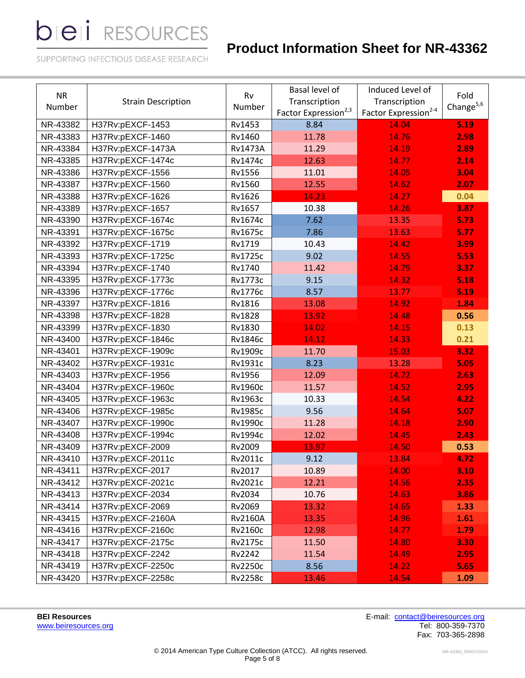# **Product Information Sheet for NR-43362**

SUPPORTING INFECTIOUS DISEASE RESEARCH

| <b>NR</b><br>Number | <b>Strain Description</b> | Rv<br>Number   | Basal level of<br>Transcription<br>Factor Expression <sup>2,3</sup> | Induced Level of<br>Transcription<br>Factor Expression <sup>2-4</sup> | Fold<br>Change $5,6$ |
|---------------------|---------------------------|----------------|---------------------------------------------------------------------|-----------------------------------------------------------------------|----------------------|
| NR-43382            | H37Rv:pEXCF-1453          | Rv1453         | 8.84                                                                | 14.04                                                                 | 5.19                 |
| NR-43383            | H37Rv:pEXCF-1460          | Rv1460         | 11.78                                                               | 14.76                                                                 | 2.98                 |
| NR-43384            | H37Rv:pEXCF-1473A         | <b>Rv1473A</b> | 11.29                                                               | 14.19                                                                 | 2.89                 |
| NR-43385            | H37Rv:pEXCF-1474c         | <b>Rv1474c</b> | 12.63                                                               | 14.77                                                                 | 2.14                 |
| NR-43386            | H37Rv:pEXCF-1556          | Rv1556         | 11.01                                                               | 14.05                                                                 | 3.04                 |
| NR-43387            | H37Rv:pEXCF-1560          | Rv1560         | 12.55                                                               | 14.62                                                                 | 2.07                 |
| NR-43388            | H37Rv:pEXCF-1626          | Rv1626         | 14.23                                                               | 14.27                                                                 | 0.04                 |
| NR-43389            | H37Rv:pEXCF-1657          | Rv1657         | 10.38                                                               | 14.26                                                                 | 3.87                 |
| NR-43390            | H37Rv:pEXCF-1674c         | Rv1674c        | 7.62                                                                | 13.35                                                                 | 5.73                 |
| NR-43391            | H37Rv:pEXCF-1675c         | <b>Rv1675c</b> | 7.86                                                                | 13.63                                                                 | 5.77                 |
| NR-43392            | H37Rv:pEXCF-1719          | Rv1719         | 10.43                                                               | 14.42                                                                 | 3.99                 |
| NR-43393            | H37Rv:pEXCF-1725c         | <b>Rv1725c</b> | 9.02                                                                | 14.55                                                                 | 5.53                 |
| NR-43394            | H37Rv:pEXCF-1740          | Rv1740         | 11.42                                                               | 14.79                                                                 | 3.37                 |
| NR-43395            | H37Rv:pEXCF-1773c         | <b>Rv1773c</b> | 9.15                                                                | 14.32                                                                 | 5.18                 |
| NR-43396            | H37Rv:pEXCF-1776c         | <b>Rv1776c</b> | 8.57                                                                | 13.77                                                                 | 5.19                 |
| NR-43397            | H37Rv:pEXCF-1816          | Rv1816         | 13.08                                                               | 14.92                                                                 | 1.84                 |
| NR-43398            | H37Rv:pEXCF-1828          | <b>Rv1828</b>  | 13.92                                                               | 14.48                                                                 | 0.56                 |
| NR-43399            | H37Rv:pEXCF-1830          | Rv1830         | 14.02                                                               | 14.15                                                                 | 0.13                 |
| NR-43400            | H37Rv:pEXCF-1846c         | <b>Rv1846c</b> | 14.12                                                               | 14.33                                                                 | 0.21                 |
| NR-43401            | H37Rv:pEXCF-1909c         | Rv1909c        | 11.70                                                               | 15.03                                                                 | 3.32                 |
| NR-43402            | H37Rv:pEXCF-1931c         | Rv1931c        | 8.23                                                                | 13.28                                                                 | 5.05                 |
| NR-43403            | H37Rv:pEXCF-1956          | Rv1956         | 12.09                                                               | 14.72                                                                 | 2.63                 |
| NR-43404            | H37Rv:pEXCF-1960c         | <b>Rv1960c</b> | 11.57                                                               | 14.52                                                                 | 2.95                 |
| NR-43405            | H37Rv:pEXCF-1963c         | Rv1963c        | 10.33                                                               | 14.54                                                                 | 4.22                 |
| NR-43406            | H37Rv:pEXCF-1985c         | <b>Rv1985c</b> | 9.56                                                                | 14.64                                                                 | 5.07                 |
| NR-43407            | H37Rv:pEXCF-1990c         | <b>Rv1990c</b> | 11.28                                                               | 14.18                                                                 | 2.90                 |
| NR-43408            | H37Rv:pEXCF-1994c         | Rv1994c        | 12.02                                                               | 14.45                                                                 | 2.43                 |
| NR-43409            | H37Rv:pEXCF-2009          | Rv2009         | 13.97                                                               | 14.50                                                                 | 0.53                 |
| NR-43410            | H37Rv:pEXCF-2011c         | Rv2011c        | 9.12                                                                | 13.84                                                                 | 4.72                 |
| NR-43411            | H37Rv:pEXCF-2017          | Rv2017         | 10.89                                                               | 14.00                                                                 | 3.10                 |
| NR-43412            | H37Rv:pEXCF-2021c         | Rv2021c        | 12.21                                                               | 14.56                                                                 | 2.35                 |
| NR-43413            | H37Rv:pEXCF-2034          | Rv2034         | 10.76                                                               | 14.63                                                                 | 3.86                 |
| NR-43414            | H37Rv:pEXCF-2069          | Rv2069         | 13.32                                                               | 14.65                                                                 | 1.33                 |
| NR-43415            | H37Rv:pEXCF-2160A         | <b>Rv2160A</b> | 13.35                                                               | 14.96                                                                 | 1.61                 |
| NR-43416            | H37Rv:pEXCF-2160c         | <b>Rv2160c</b> | 12.98                                                               | 14.77                                                                 | 1.79                 |
| NR-43417            | H37Rv:pEXCF-2175c         | <b>Rv2175c</b> | 11.50                                                               | 14.80                                                                 | 3.30                 |
| NR-43418            | H37Rv:pEXCF-2242          | Rv2242         | 11.54                                                               | 14.49                                                                 | 2.95                 |
| NR-43419            | H37Rv:pEXCF-2250c         | <b>Rv2250c</b> | 8.56                                                                | 14.22                                                                 | 5.65                 |
| NR-43420            | H37Rv:pEXCF-2258c         | <b>Rv2258c</b> | 13.46                                                               | 14.54                                                                 | 1.09                 |

[www.beiresources.org](http://www.beiresources.org/)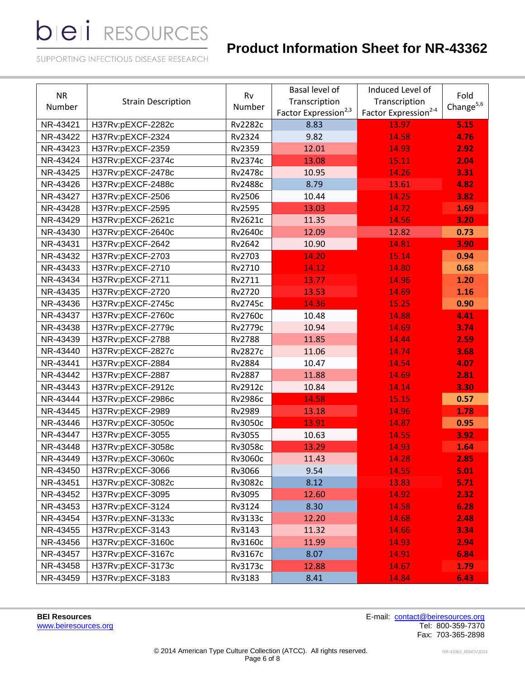# **Product Information Sheet for NR-43362**

SUPPORTING INFECTIOUS DISEASE RESEARCH

| <b>NR</b><br>Number | <b>Strain Description</b> | Rv<br>Number   | Basal level of<br>Transcription<br>Factor Expression <sup>2,3</sup> | Induced Level of<br>Transcription<br>Factor Expression <sup>2-4</sup> | Fold<br>Change $5,6$ |
|---------------------|---------------------------|----------------|---------------------------------------------------------------------|-----------------------------------------------------------------------|----------------------|
| NR-43421            | H37Rv:pEXCF-2282c         | <b>Rv2282c</b> | 8.83                                                                | 13.97                                                                 | 5.15                 |
| NR-43422            | H37Rv:pEXCF-2324          | Rv2324         | 9.82                                                                | 14.58                                                                 | 4.76                 |
| NR-43423            | H37Rv:pEXCF-2359          | Rv2359         | 12.01                                                               | 14.93                                                                 | 2.92                 |
| NR-43424            | H37Rv:pEXCF-2374c         | Rv2374c        | 13.08                                                               | 15.11                                                                 | 2.04                 |
| NR-43425            | H37Rv:pEXCF-2478c         | <b>Rv2478c</b> | 10.95                                                               | 14.26                                                                 | 3.31                 |
| NR-43426            | H37Rv:pEXCF-2488c         | <b>Rv2488c</b> | 8.79                                                                | 13.61                                                                 | 4.82                 |
| NR-43427            | H37Rv:pEXCF-2506          | Rv2506         | 10.44                                                               | 14.25                                                                 | 3.82                 |
| NR-43428            | H37Rv:pEXCF-2595          | Rv2595         | 13.03                                                               | 14.72                                                                 | 1.69                 |
| NR-43429            | H37Rv:pEXCF-2621c         | Rv2621c        | 11.35                                                               | 14.56                                                                 | 3.20                 |
| NR-43430            | H37Rv:pEXCF-2640c         | <b>Rv2640c</b> | 12.09                                                               | 12.82                                                                 | 0.73                 |
| NR-43431            | H37Rv:pEXCF-2642          | Rv2642         | 10.90                                                               | 14.81                                                                 | 3.90                 |
| NR-43432            | H37Rv:pEXCF-2703          | Rv2703         | 14.20                                                               | 15.14                                                                 | 0.94                 |
| NR-43433            | H37Rv:pEXCF-2710          | Rv2710         | 14.12                                                               | 14.80                                                                 | 0.68                 |
| NR-43434            | H37Rv:pEXCF-2711          | Rv2711         | 13.77                                                               | 14.96                                                                 | 1.20                 |
| NR-43435            | H37Rv:pEXCF-2720          | Rv2720         | 13.53                                                               | 14.69                                                                 | 1.16                 |
| NR-43436            | H37Rv:pEXCF-2745c         | <b>Rv2745c</b> | 14.36                                                               | 15.25                                                                 | 0.90                 |
| NR-43437            | H37Rv:pEXCF-2760c         | <b>Rv2760c</b> | 10.48                                                               | 14.88                                                                 | 4.41                 |
| NR-43438            | H37Rv:pEXCF-2779c         | Rv2779c        | 10.94                                                               | 14.69                                                                 | 3.74                 |
| NR-43439            | H37Rv:pEXCF-2788          | <b>Rv2788</b>  | 11.85                                                               | 14.44                                                                 | 2.59                 |
| NR-43440            | H37Rv:pEXCF-2827c         | <b>Rv2827c</b> | 11.06                                                               | 14.74                                                                 | 3.68                 |
| NR-43441            | H37Rv:pEXCF-2884          | Rv2884         | 10.47                                                               | 14.54                                                                 | 4.07                 |
| NR-43442            | H37Rv:pEXCF-2887          | <b>Rv2887</b>  | 11.88                                                               | 14.69                                                                 | 2.81                 |
| NR-43443            | H37Rv:pEXCF-2912c         | <b>Rv2912c</b> | 10.84                                                               | 14.14                                                                 | 3.30                 |
| NR-43444            | H37Rv:pEXCF-2986c         | <b>Rv2986c</b> | 14.58                                                               | 15.15                                                                 | 0.57                 |
| NR-43445            | H37Rv:pEXCF-2989          | Rv2989         | 13.18                                                               | 14.96                                                                 | 1.78                 |
| NR-43446            | H37Rv:pEXCF-3050c         | Rv3050c        | 13.91                                                               | 14.87                                                                 | 0.95                 |
| NR-43447            | H37Rv:pEXCF-3055          | Rv3055         | 10.63                                                               | 14.55                                                                 | 3.92                 |
| NR-43448            | H37Rv:pEXCF-3058c         | Rv3058c        | 13.29                                                               | 14.93                                                                 | 1.64                 |
| NR-43449            | H37Rv:pEXCF-3060c         | Rv3060c        | 11.43                                                               | 14.28                                                                 | 2.85                 |
| NR-43450            | H37Rv:pEXCF-3066          | Rv3066         | 9.54                                                                | 14.55                                                                 | 5.01                 |
| NR-43451            | H37Rv:pEXCF-3082c         | Rv3082c        | 8.12                                                                | 13.83                                                                 | 5.71                 |
| NR-43452            | H37Rv:pEXCF-3095          | Rv3095         | 12.60                                                               | 14.92                                                                 | 2.32                 |
| NR-43453            | H37Rv:pEXCF-3124          | Rv3124         | 8.30                                                                | 14.58                                                                 | 6.28                 |
| NR-43454            | H37Rv:pEXNF-3133c         | Rv3133c        | 12.20                                                               | 14.68                                                                 | 2.48                 |
| NR-43455            | H37Rv:pEXCF-3143          | Rv3143         | 11.32                                                               | 14.66                                                                 | 3.34                 |
| NR-43456            | H37Rv:pEXCF-3160c         | Rv3160c        | 11.99                                                               | 14.93                                                                 | 2.94                 |
| NR-43457            | H37Rv:pEXCF-3167c         | Rv3167c        | 8.07                                                                | 14.91                                                                 | 6.84                 |
| NR-43458            | H37Rv:pEXCF-3173c         | Rv3173c        | 12.88                                                               | 14.67                                                                 | 1.79                 |
| NR-43459            | H37Rv:pEXCF-3183          | Rv3183         | 8.41                                                                | 14.84                                                                 | 6.43                 |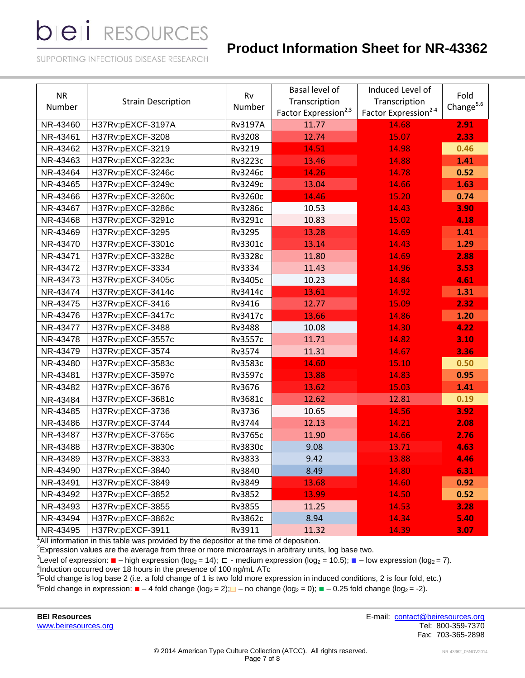# **Product Information Sheet for NR-43362**

SUPPORTING INFECTIOUS DISEASE RESEARCH

| <b>NR</b><br>Number | <b>Strain Description</b> | Rv<br>Number   | Basal level of<br>Transcription<br>Factor Expression <sup>2,3</sup> | Induced Level of<br>Transcription<br>Factor Expression <sup>2-4</sup> | Fold<br>Change $5,6$ |
|---------------------|---------------------------|----------------|---------------------------------------------------------------------|-----------------------------------------------------------------------|----------------------|
| NR-43460            | H37Rv:pEXCF-3197A         | <b>Rv3197A</b> | 11.77                                                               | 14.68                                                                 | 2.91                 |
| NR-43461            | H37Rv:pEXCF-3208          | Rv3208         | 12.74                                                               | 15.07                                                                 | 2.33                 |
| NR-43462            | H37Rv:pEXCF-3219          | Rv3219         | 14.51                                                               | 14.98                                                                 | 0.46                 |
| NR-43463            | H37Rv:pEXCF-3223c         | Rv3223c        | 13.46                                                               | 14.88                                                                 | 1.41                 |
| NR-43464            | H37Rv:pEXCF-3246c         | Rv3246c        | 14.26                                                               | 14.78                                                                 | 0.52                 |
| NR-43465            | H37Rv:pEXCF-3249c         | Rv3249c        | 13.04                                                               | 14.66                                                                 | 1.63                 |
| NR-43466            | H37Rv:pEXCF-3260c         | Rv3260c        | 14.46                                                               | 15.20                                                                 | 0.74                 |
| NR-43467            | H37Rv:pEXCF-3286c         | <b>Rv3286c</b> | 10.53                                                               | 14.43                                                                 | 3.90                 |
| NR-43468            | H37Rv:pEXCF-3291c         | Rv3291c        | 10.83                                                               | 15.02                                                                 | 4.18                 |
| NR-43469            | H37Rv:pEXCF-3295          | Rv3295         | 13.28                                                               | 14.69                                                                 | 1.41                 |
| NR-43470            | H37Rv:pEXCF-3301c         | Rv3301c        | 13.14                                                               | 14.43                                                                 | 1.29                 |
| NR-43471            | H37Rv:pEXCF-3328c         | <b>Rv3328c</b> | 11.80                                                               | 14.69                                                                 | 2.88                 |
| NR-43472            | H37Rv:pEXCF-3334          | Rv3334         | 11.43                                                               | 14.96                                                                 | 3.53                 |
| NR-43473            | H37Rv:pEXCF-3405c         | Rv3405c        | 10.23                                                               | 14.84                                                                 | 4.61                 |
| NR-43474            | H37Rv:pEXCF-3414c         | Rv3414c        | 13.61                                                               | 14.92                                                                 | 1.31                 |
| NR-43475            | H37Rv:pEXCF-3416          | Rv3416         | 12.77                                                               | 15.09                                                                 | 2.32                 |
| NR-43476            | H37Rv:pEXCF-3417c         | Rv3417c        | 13.66                                                               | 14.86                                                                 | 1.20                 |
| NR-43477            | H37Rv:pEXCF-3488          | Rv3488         | 10.08                                                               | 14.30                                                                 | 4.22                 |
| NR-43478            | H37Rv:pEXCF-3557c         | <b>Rv3557c</b> | 11.71                                                               | 14.82                                                                 | 3.10                 |
| NR-43479            | H37Rv:pEXCF-3574          | Rv3574         | 11.31                                                               | 14.67                                                                 | 3.36                 |
| NR-43480            | H37Rv:pEXCF-3583c         | Rv3583c        | 14.60                                                               | 15.10                                                                 | 0.50                 |
| NR-43481            | H37Rv:pEXCF-3597c         | Rv3597c        | 13.88                                                               | 14.83                                                                 | 0.95                 |
| NR-43482            | H37Rv:pEXCF-3676          | Rv3676         | 13.62                                                               | 15.03                                                                 | 1.41                 |
| NR-43484            | H37Rv:pEXCF-3681c         | Rv3681c        | 12.62                                                               | 12.81                                                                 | 0.19                 |
| NR-43485            | H37Rv:pEXCF-3736          | Rv3736         | 10.65                                                               | 14.56                                                                 | 3.92                 |
| NR-43486            | H37Rv:pEXCF-3744          | Rv3744         | 12.13                                                               | 14.21                                                                 | 2.08                 |
| NR-43487            | H37Rv:pEXCF-3765c         | Rv3765c        | 11.90                                                               | 14.66                                                                 | 2.76                 |
| NR-43488            | H37Rv:pEXCF-3830c         | Rv3830c        | 9.08                                                                | 13.71                                                                 | 4.63                 |
| NR-43489            | H37Rv:pEXCF-3833          | Rv3833         | 9.42                                                                | 13.88                                                                 | 4.46                 |
| NR-43490            | H37Rv:pEXCF-3840          | Rv3840         | 8.49                                                                | 14.80                                                                 | 6.31                 |
| NR-43491            | H37Rv:pEXCF-3849          | Rv3849         | 13.68                                                               | 14.60                                                                 | 0.92                 |
| NR-43492            | H37Rv:pEXCF-3852          | Rv3852         | 13.99                                                               | 14.50                                                                 | 0.52                 |
| NR-43493            | H37Rv:pEXCF-3855          | Rv3855         | 11.25                                                               | 14.53                                                                 | 3.28                 |
| NR-43494            | H37Rv:pEXCF-3862c         | Rv3862c        | 8.94                                                                | 14.34                                                                 | 5.40                 |
| NR-43495            | H37Rv:pEXCF-3911          | Rv3911         | 11.32                                                               | 14.39                                                                 | 3.07                 |

 $1$ All information in this table was provided by the depositor at the time of deposition.

 $2$ Expression values are the average from three or more microarrays in arbitrary units, log base two.

 ${}^{3}$ Level of expression:  $\blacksquare$  – high expression (log<sub>2</sub> = 14);  $\Box$  - medium expression (log<sub>2</sub> = 10.5);  $\blacksquare$  – low expression (log<sub>2</sub> = 7).<br><sup>4</sup>Induction occurred over 18 hours in the presence of 100 ng/mL ATc<br><sup>5</sup>Fo

<sup>6</sup>Fold change in expression: ■ – 4 fold change (log<sub>2</sub> = 2);■ – no change (log<sub>2</sub> = 0); ■ – 0.25 fold change (log<sub>2</sub> = -2).

[www.beiresources.org](http://www.beiresources.org/)

**BEI Resources** E-mail: [contact@beiresources.org](mailto:contact@beiresources.org) Fax: 703-365-2898